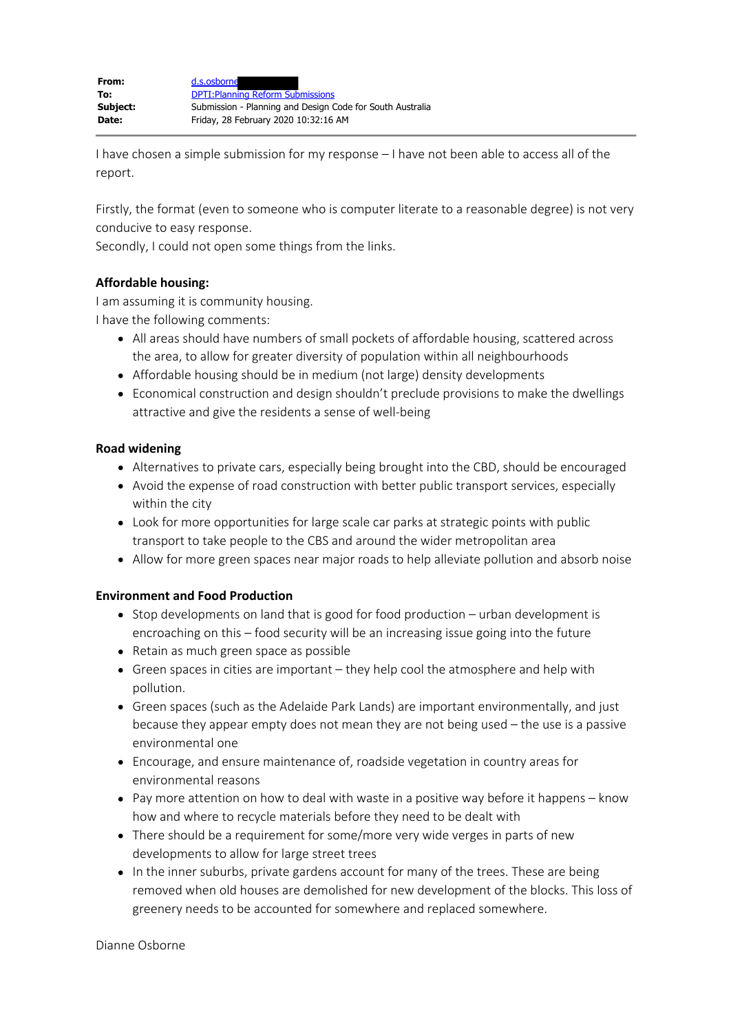I have chosen a simple submission for my response – I have not been able to access all of the report.

Firstly, the format (even to someone who is computer literate to a reasonable degree) is not very conducive to easy response.

Secondly, I could not open some things from the links.

## **Affordable housing:**

I am assuming it is community housing.

I have the following comments:

- All areas should have numbers of small pockets of affordable housing, scattered across the area, to allow for greater diversity of population within all neighbourhoods
- Affordable housing should be in medium (not large) density developments
- Economical construction and design shouldn't preclude provisions to make the dwellings attractive and give the residents a sense of well-being

## **Road widening**

- Alternatives to private cars, especially being brought into the CBD, should be encouraged
- Avoid the expense of road construction with better public transport services, especially within the city
- Look for more opportunities for large scale car parks at strategic points with public transport to take people to the CBS and around the wider metropolitan area
- Allow for more green spaces near major roads to help alleviate pollution and absorb noise

## **Environment and Food Production**

- Stop developments on land that is good for food production urban development is encroaching on this – food security will be an increasing issue going into the future
- Retain as much green space as possible
- Green spaces in cities are important they help cool the atmosphere and help with pollution.
- Green spaces (such as the Adelaide Park Lands) are important environmentally, and just because they appear empty does not mean they are not being used – the use is a passive environmental one
- Encourage, and ensure maintenance of, roadside vegetation in country areas for environmental reasons
- Pay more attention on how to deal with waste in a positive way before it happens know how and where to recycle materials before they need to be dealt with
- There should be a requirement for some/more very wide verges in parts of new developments to allow for large street trees
- In the inner suburbs, private gardens account for many of the trees. These are being removed when old houses are demolished for new development of the blocks. This loss of greenery needs to be accounted for somewhere and replaced somewhere.